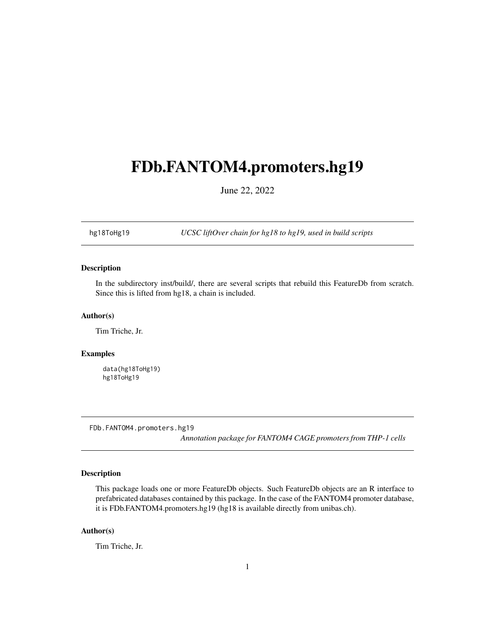# <span id="page-0-1"></span><span id="page-0-0"></span>FDb.FANTOM4.promoters.hg19

June 22, 2022

hg18ToHg19 *UCSC liftOver chain for hg18 to hg19, used in build scripts*

#### Description

In the subdirectory inst/build/, there are several scripts that rebuild this FeatureDb from scratch. Since this is lifted from hg18, a chain is included.

# Author(s)

Tim Triche, Jr.

#### Examples

data(hg18ToHg19) hg18ToHg19

FDb.FANTOM4.promoters.hg19

*Annotation package for FANTOM4 CAGE promoters from THP-1 cells*

# Description

This package loads one or more FeatureDb objects. Such FeatureDb objects are an R interface to prefabricated databases contained by this package. In the case of the FANTOM4 promoter database, it is FDb.FANTOM4.promoters.hg19 (hg18 is available directly from unibas.ch).

#### Author(s)

Tim Triche, Jr.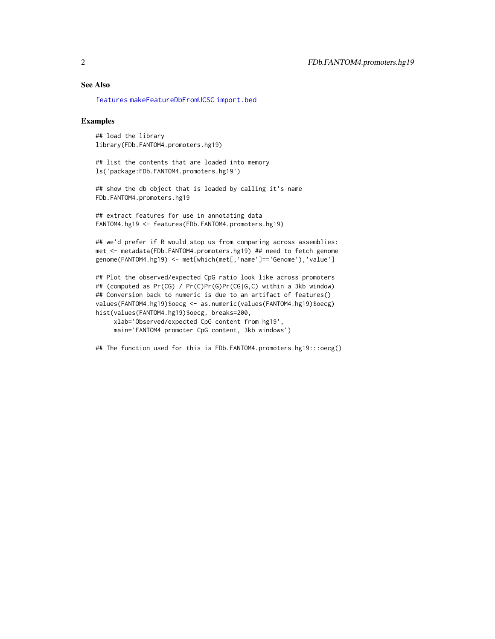## <span id="page-1-0"></span>See Also

[features](#page-0-0) [makeFeatureDbFromUCSC](#page-0-0) [import.bed](#page-0-0)

#### Examples

## load the library library(FDb.FANTOM4.promoters.hg19)

## list the contents that are loaded into memory ls('package:FDb.FANTOM4.promoters.hg19')

## show the db object that is loaded by calling it's name FDb.FANTOM4.promoters.hg19

```
## extract features for use in annotating data
FANTOM4.hg19 <- features(FDb.FANTOM4.promoters.hg19)
```
## we'd prefer if R would stop us from comparing across assemblies: met <- metadata(FDb.FANTOM4.promoters.hg19) ## need to fetch genome genome(FANTOM4.hg19) <- met[which(met[,'name']=='Genome'),'value']

```
## Plot the observed/expected CpG ratio look like across promoters
## (computed as Pr(CG) / Pr(C)Pr(G)Pr(CG|G,C) within a 3kb window)
## Conversion back to numeric is due to an artifact of features()
values(FANTOM4.hg19)$oecg <- as.numeric(values(FANTOM4.hg19)$oecg)
hist(values(FANTOM4.hg19)$oecg, breaks=200,
```

```
xlab='Observed/expected CpG content from hg19',
main='FANTOM4 promoter CpG content, 3kb windows')
```
## The function used for this is FDb.FANTOM4.promoters.hg19:::oecg()